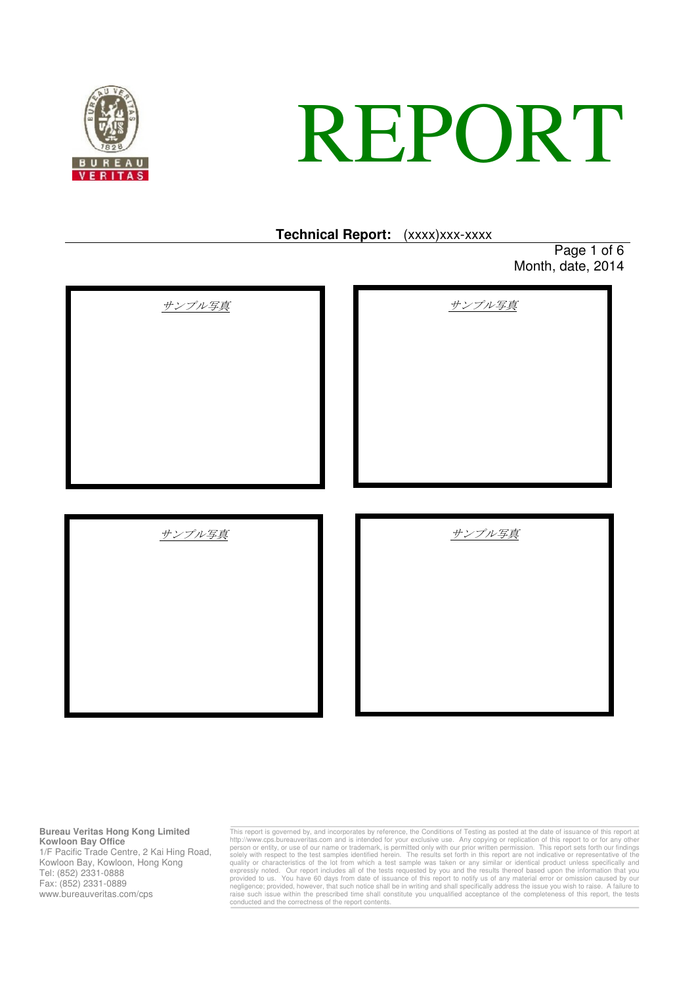

# REPORT

## **Technical Report:** (xxxx)xxx-xxxx

Page 1 of 6 Month, date, 2014

| サンプル写真 | サンプル写真 |
|--------|--------|
|        |        |
| サンプル写真 | サンプル写真 |
|        |        |

### **Bureau Veritas Hong Kong Limited Kowloon Bay Office**

1/F Pacific Trade Centre, 2 Kai Hing Road, Kowloon Bay, Kowloon, Hong Kong Tel: (852) 2331-0888 Fax: (852) 2331-0889 www.bureauveritas.com/cps

This report is governed by, and incorporates by reference, the Conditions of Testing as posted at the date of issuance of this report at http://www.cps.bureauveritas.com and is intended for your exclusive use. Any copying raise such issue within the prescribed time shall constitute you unqualified acceptance of the completeness of this report, the tests conducted and the correctness of the report contents.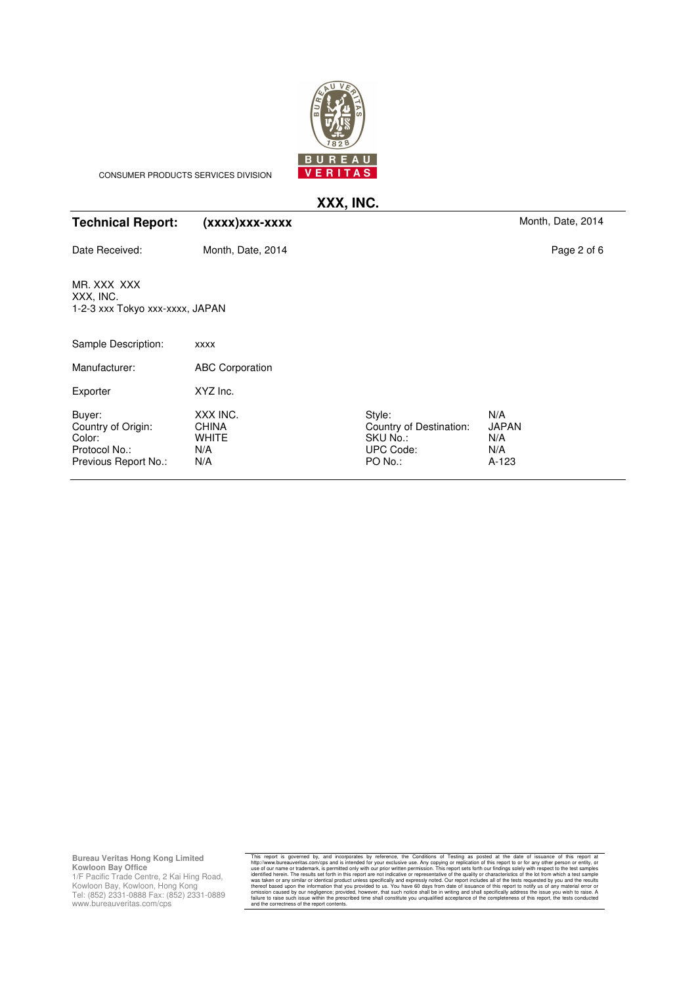

CONSUMER PRODUCTS SERVICES DIVISION

# **XXX, INC.**

| (XXXX) XXX-XXXX                                        |                                                                       | Month, Date, 2014                          |
|--------------------------------------------------------|-----------------------------------------------------------------------|--------------------------------------------|
| Month, Date, 2014                                      |                                                                       | Page 2 of 6                                |
| 1-2-3 xxx Tokyo xxx-xxxx, JAPAN                        |                                                                       |                                            |
| <b>XXXX</b>                                            |                                                                       |                                            |
| <b>ABC Corporation</b>                                 |                                                                       |                                            |
| XYZ Inc.                                               |                                                                       |                                            |
| XXX INC.<br><b>CHINA</b><br><b>WHITE</b><br>N/A<br>N/A | Style:<br>Country of Destination:<br>SKU No.:<br>UPC Code:<br>PO No.: | N/A<br><b>JAPAN</b><br>N/A<br>N/A<br>A-123 |
|                                                        |                                                                       |                                            |

**Bureau Veritas Hong Kong Limited Kowloon Bay Office**

1/F Pacific Trade Centre, 2 Kai Hing Road, Kowloon Bay, Kowloon, Hong Kong Tel: (852) 2331-0888 Fax: (852) 2331-0889 www.bureauveritas.com/cps

This report is governed by, and incorporates by reference, the Conditions of Testing as posted at the date of issuance of this report and the method of py the method of py creplication of this report of or any other person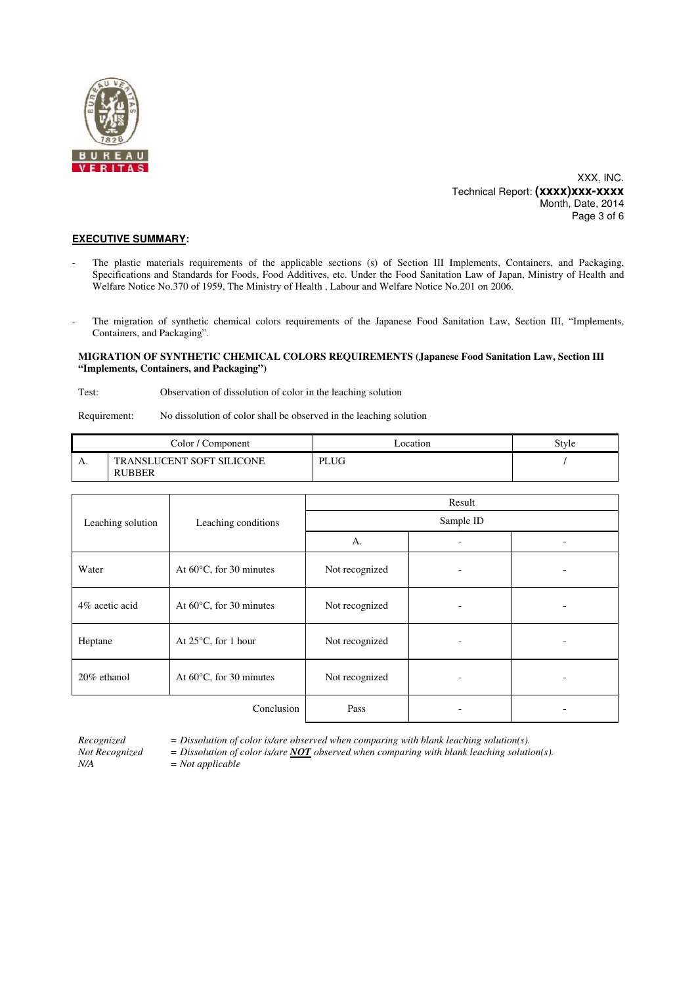

XXX, INC. Technical Report: **(xxxx)xxx-xxxx** Month, Date, 2014 Page 3 of 6

### **EXECUTIVE SUMMARY:**

- The plastic materials requirements of the applicable sections (s) of Section III Implements, Containers, and Packaging, Specifications and Standards for Foods, Food Additives, etc. Under the Food Sanitation Law of Japan, Ministry of Health and Welfare Notice No.370 of 1959, The Ministry of Health , Labour and Welfare Notice No.201 on 2006.
- The migration of synthetic chemical colors requirements of the Japanese Food Sanitation Law, Section III, "Implements, Containers, and Packaging".

### **MIGRATION OF SYNTHETIC CHEMICAL COLORS REQUIREMENTS (Japanese Food Sanitation Law, Section III "Implements, Containers, and Packaging")**

Test: Observation of dissolution of color in the leaching solution

Requirement: No dissolution of color shall be observed in the leaching solution

| Color / Component |                                                   | Location    | Style |
|-------------------|---------------------------------------------------|-------------|-------|
| л.                | <b>TRANSLUCENT SOFT SILICONE</b><br><b>RUBBER</b> | <b>PLUG</b> |       |

|                                                     |                                   | Result         |  |   |  |
|-----------------------------------------------------|-----------------------------------|----------------|--|---|--|
| Leaching solution                                   | Leaching conditions               | Sample ID      |  |   |  |
|                                                     |                                   | A.             |  |   |  |
| Water                                               | At $60^{\circ}$ C, for 30 minutes | Not recognized |  |   |  |
| 4% acetic acid                                      | At $60^{\circ}$ C, for 30 minutes | Not recognized |  |   |  |
| Heptane                                             | At $25^{\circ}$ C, for 1 hour     | Not recognized |  | ۰ |  |
| $20\%$ ethanol<br>At $60^{\circ}$ C, for 30 minutes |                                   | Not recognized |  | - |  |
|                                                     | Conclusion                        | Pass           |  |   |  |

*N/A = Not applicable* 

*Recognized = Dissolution of color is/are observed when comparing with blank leaching solution(s).* 

*Not Recognized = Dissolution of color is/are NOT observed when comparing with blank leaching solution(s).*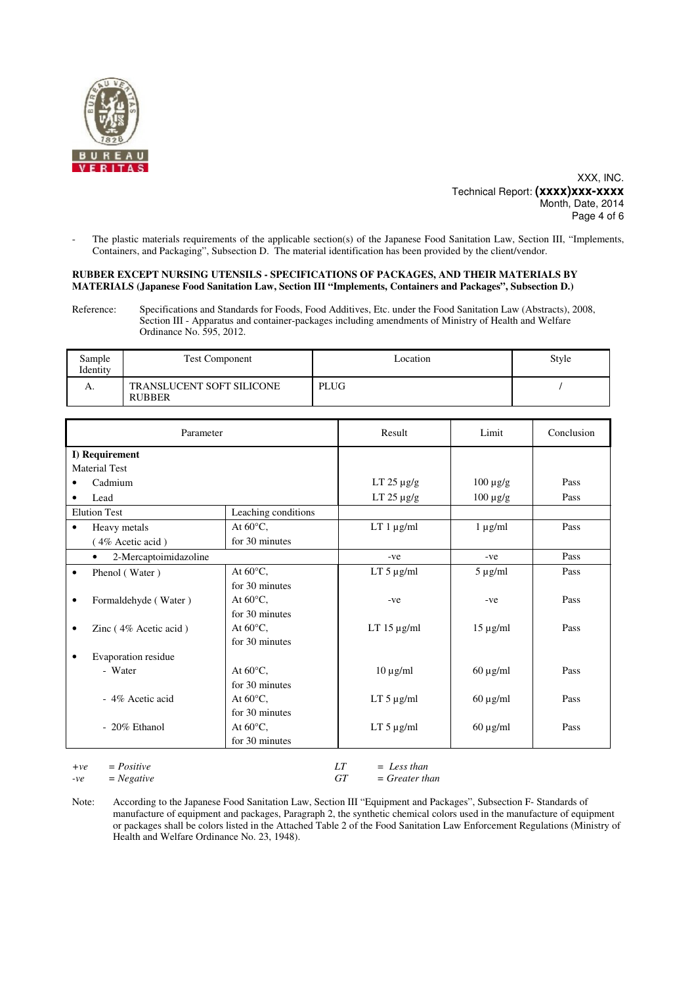

XXX, INC. Technical Report: **(xxxx)xxx-xxxx** Month, Date, 2014 Page 4 of 6

The plastic materials requirements of the applicable section(s) of the Japanese Food Sanitation Law, Section III, "Implements, Containers, and Packaging", Subsection D. The material identification has been provided by the client/vendor.

### **RUBBER EXCEPT NURSING UTENSILS - SPECIFICATIONS OF PACKAGES, AND THEIR MATERIALS BY MATERIALS (Japanese Food Sanitation Law, Section III "Implements, Containers and Packages", Subsection D.)**

Reference: Specifications and Standards for Foods, Food Additives, Etc. under the Food Sanitation Law (Abstracts), 2008, Section III - Apparatus and container-packages including amendments of Ministry of Health and Welfare Ordinance No. 595, 2012.

| Sample<br>Identity | <b>Test Component</b>                             | ocation     | Style |
|--------------------|---------------------------------------------------|-------------|-------|
| А.                 | <b>TRANSLUCENT SOFT SILICONE</b><br><b>RUBBER</b> | <b>PLUG</b> |       |

| Parameter                          |                     | Result           | Limit         | Conclusion |
|------------------------------------|---------------------|------------------|---------------|------------|
| I) Requirement                     |                     |                  |               |            |
| <b>Material Test</b>               |                     |                  |               |            |
| Cadmium                            |                     | LT $25 \mu g/g$  | $100 \mu g/g$ | Pass       |
| Lead                               |                     | LT $25 \mu g/g$  | $100 \mu g/g$ | Pass       |
| <b>Elution Test</b>                | Leaching conditions |                  |               |            |
| Heavy metals<br>$\bullet$          | At $60^{\circ}$ C,  | $LT 1 \mu g/ml$  | $1 \mu g/ml$  | Pass       |
| (4% Acetic acid)                   | for 30 minutes      |                  |               |            |
| 2-Mercaptoimidazoline<br>$\bullet$ |                     | $-ve$            | $-ve$         | Pass       |
| Phenol (Water)<br>$\bullet$        | At $60^{\circ}$ C,  | $LT 5 \mu g/ml$  | $5 \mu g/ml$  | Pass       |
|                                    | for 30 minutes      |                  |               |            |
| Formaldehyde (Water)<br>$\bullet$  | At $60^{\circ}$ C,  | $-ve$            | $-ve$         | Pass       |
|                                    | for 30 minutes      |                  |               |            |
| Zinc (4% Acetic acid)<br>٠         | At $60^{\circ}$ C,  | LT $15 \mu g/ml$ | $15 \mu g/ml$ | Pass       |
|                                    | for 30 minutes      |                  |               |            |
| Evaporation residue<br>٠           |                     |                  |               |            |
| - Water                            | At $60^{\circ}$ C,  | $10 \mu g/ml$    | $60 \mu g/ml$ | Pass       |
|                                    | for 30 minutes      |                  |               |            |
| - 4% Acetic acid                   | At $60^{\circ}$ C,  | $LT 5 \mu g/ml$  | $60 \mu g/ml$ | Pass       |
|                                    | for 30 minutes      |                  |               |            |
| - 20% Ethanol                      | At $60^{\circ}$ C,  | $LT 5 \mu g/ml$  | $60 \mu g/ml$ | Pass       |
|                                    | for 30 minutes      |                  |               |            |
|                                    |                     |                  |               |            |

| $+ve = Positive$ |      | $=$ Less than    |
|------------------|------|------------------|
| $-ve = Negative$ | GT - | $=$ Greater than |

Note: According to the Japanese Food Sanitation Law, Section III "Equipment and Packages", Subsection F- Standards of manufacture of equipment and packages, Paragraph 2, the synthetic chemical colors used in the manufacture of equipment or packages shall be colors listed in the Attached Table 2 of the Food Sanitation Law Enforcement Regulations (Ministry of Health and Welfare Ordinance No. 23, 1948).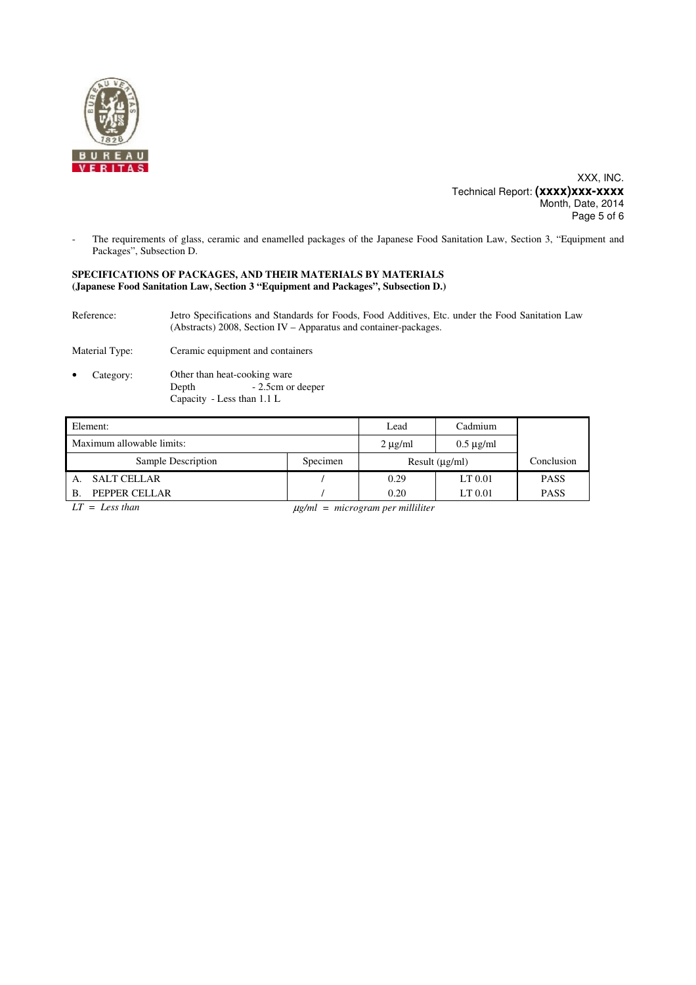

XXX, INC. Technical Report: **(xxxx)xxx-xxxx** Month, Date, 2014 Page 5 of 6

The requirements of glass, ceramic and enamelled packages of the Japanese Food Sanitation Law, Section 3, "Equipment and Packages", Subsection D.

### **SPECIFICATIONS OF PACKAGES, AND THEIR MATERIALS BY MATERIALS (Japanese Food Sanitation Law, Section 3 "Equipment and Packages", Subsection D.)**

Reference: Jetro Specifications and Standards for Foods, Food Additives, Etc. under the Food Sanitation Law (Abstracts) 2008, Section IV – Apparatus and container-packages.

Material Type: Ceramic equipment and containers

Category: Other than heat-cooking ware<br>Depth - 2.5cm or - 2.5cm or deeper Capacity - Less than 1.1 L

| Element:                      |                                       | Lead                | Cadmium        |             |
|-------------------------------|---------------------------------------|---------------------|----------------|-------------|
| Maximum allowable limits:     |                                       | $2 \mu g/ml$        | $0.5 \mu$ g/ml |             |
| Sample Description            | Specimen                              | Result $(\mu g/ml)$ |                | Conclusion  |
| <b>SALT CELLAR</b><br>А.      |                                       | 0.29                | LT 0.01        | <b>PASS</b> |
| PEPPER CELLAR<br>$\mathbf{B}$ |                                       | 0.20                | LT 0.01        | <b>PASS</b> |
| $LT = Less than$              | $\mu$ g/ml = microgram per milliliter |                     |                |             |